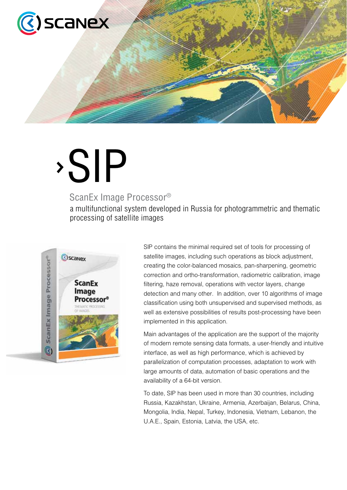

# SIP

# ScanEx Image Processor®

a multifunctional system developed in Russia for photogrammetric and thematic processing of satellite images



SIP contains the minimal required set of tools for processing of satellite images, including such operations as block adjustment, creating the color-balanced mosaics, pan-sharpening, geometric correction and ortho-transformation, radiometric calibration, image filtering, haze removal, operations with vector layers, change detection and many other. In addition, over 10 algorithms of image classification using both unsupervised and supervised methods, as well as extensive possibilities of results post-processing have been implemented in this application.

Main advantages of the application are the support of the majority of modern remote sensing data formats, a user-friendly and intuitive interface, as well as high performance, which is achieved by parallelization of computation processes, adaptation to work with large amounts of data, automation of basic operations and the availability of a 64-bit version.

To date, SIP has been used in more than 30 countries, including Russia, Kazakhstan, Ukraine, Armenia, Azerbaijan, Belarus, China, Mongolia, India, Nepal, Turkey, Indonesia, Vietnam, Lebanon, the U.A.E., Spain, Estonia, Latvia, the USA, etc.